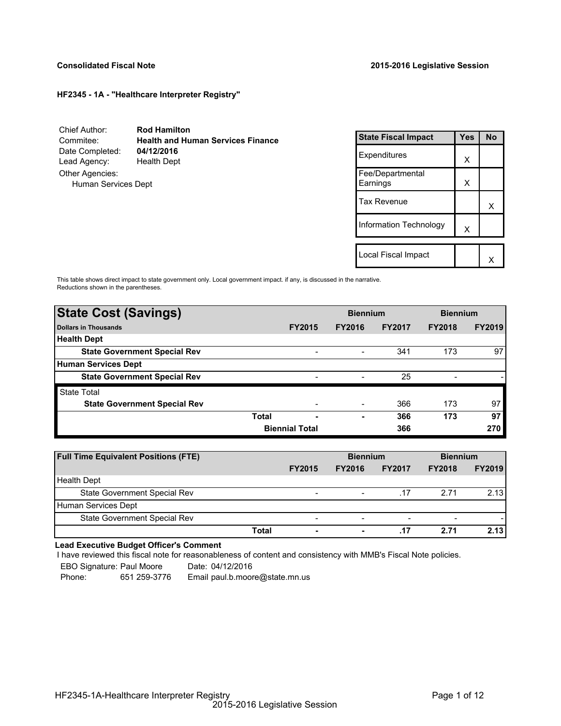## **HF2345 - 1A - "Healthcare Interpreter Registry"**

| Chief Author:       | <b>Rod Hamilton</b>                      |
|---------------------|------------------------------------------|
| Commitee:           | <b>Health and Human Services Finance</b> |
| Date Completed:     | 04/12/2016                               |
| Lead Agency:        | <b>Health Dept</b>                       |
| Other Agencies:     |                                          |
| Human Services Dept |                                          |
|                     |                                          |
|                     |                                          |

| <b>State Fiscal Impact</b>   | Yes | No |
|------------------------------|-----|----|
| Expenditures                 | X   |    |
| Fee/Departmental<br>Earnings | X   |    |
| Tax Revenue                  |     | x  |
| Information Technology       | X   |    |
|                              |     |    |
| Local Fiscal Impact          |     |    |

This table shows direct impact to state government only. Local government impact. if any, is discussed in the narrative. Reductions shown in the parentheses.

| <b>State Cost (Savings)</b>         |              |                          |               | <b>Biennium</b> |               | <b>Biennium</b> |  |
|-------------------------------------|--------------|--------------------------|---------------|-----------------|---------------|-----------------|--|
| <b>Dollars in Thousands</b>         |              | <b>FY2015</b>            | <b>FY2016</b> | <b>FY2017</b>   | <b>FY2018</b> | <b>FY2019</b>   |  |
| <b>Health Dept</b>                  |              |                          |               |                 |               |                 |  |
| <b>State Government Special Rev</b> |              | -                        |               | 341             | 173           | 97              |  |
| <b>Human Services Dept</b>          |              |                          |               |                 |               |                 |  |
| <b>State Government Special Rev</b> |              |                          |               | 25              |               |                 |  |
| <b>State Total</b>                  |              |                          |               |                 |               |                 |  |
| <b>State Government Special Rev</b> |              | $\overline{\phantom{0}}$ |               | 366             | 173           | 97              |  |
|                                     | <b>Total</b> | ۰                        | ۰             | 366             | 173           | 97              |  |
|                                     |              | <b>Biennial Total</b>    |               | 366             |               | 270             |  |

| <b>Full Time Equivalent Positions (FTE)</b> |       |                          | <b>Biennium</b>          |               | <b>Biennium</b>          |               |
|---------------------------------------------|-------|--------------------------|--------------------------|---------------|--------------------------|---------------|
|                                             |       | <b>FY2015</b>            | <b>FY2016</b>            | <b>FY2017</b> | <b>FY2018</b>            | <b>FY2019</b> |
| <b>Health Dept</b>                          |       |                          |                          |               |                          |               |
| State Government Special Rev                |       | $\overline{\phantom{0}}$ | $\overline{\phantom{a}}$ | -17           | 2.71                     | 2.13          |
| Human Services Dept                         |       |                          |                          |               |                          |               |
| State Government Special Rev                |       | -                        | -                        | -             | $\overline{\phantom{a}}$ |               |
|                                             | Total | $\overline{\phantom{0}}$ | $\sim$                   | .17           | 2.71                     | 2.13          |

# **Lead Executive Budget Officer's Comment**

-

I have reviewed this fiscal note for reasonableness of content and consistency with MMB's Fiscal Note policies.

EBO Signature: Paul Moore Date: 04/12/2016<br>Phone: 651 259-3776 Email paul.b.moor Email paul.b.moore@state.mn.us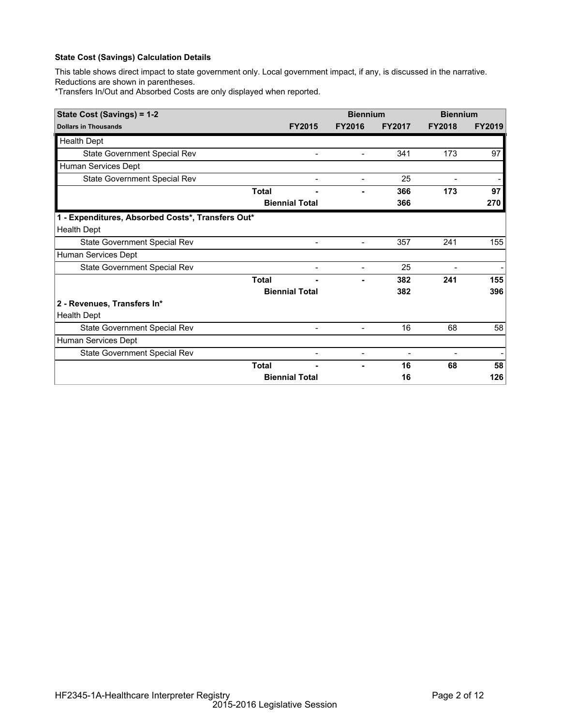## **State Cost (Savings) Calculation Details**

This table shows direct impact to state government only. Local government impact, if any, is discussed in the narrative. Reductions are shown in parentheses.

\*Transfers In/Out and Absorbed Costs are only displayed when reported.

| State Cost (Savings) = 1-2                        |              |                              | <b>Biennium</b>          |                          | <b>Biennium</b> |               |
|---------------------------------------------------|--------------|------------------------------|--------------------------|--------------------------|-----------------|---------------|
| <b>Dollars in Thousands</b>                       |              | <b>FY2015</b>                | <b>FY2016</b>            | <b>FY2017</b>            | <b>FY2018</b>   | <b>FY2019</b> |
| <b>Health Dept</b>                                |              |                              |                          |                          |                 |               |
| State Government Special Rev                      |              | $\blacksquare$               | -                        | 341                      | 173             | 97            |
| Human Services Dept                               |              |                              |                          |                          |                 |               |
| State Government Special Rev                      |              | $\blacksquare$               | $\overline{\phantom{0}}$ | 25                       | $\overline{a}$  |               |
|                                                   | <b>Total</b> |                              |                          | 366                      | 173             | 97            |
|                                                   |              | <b>Biennial Total</b>        |                          | 366                      |                 | 270           |
| 1 - Expenditures, Absorbed Costs*, Transfers Out* |              |                              |                          |                          |                 |               |
| <b>Health Dept</b>                                |              |                              |                          |                          |                 |               |
| State Government Special Rev                      |              | $\blacksquare$               | $\overline{a}$           | 357                      | 241             | 155           |
| Human Services Dept                               |              |                              |                          |                          |                 |               |
| State Government Special Rev                      |              | $\qquad \qquad \blacksquare$ | $\overline{a}$           | 25                       | $\overline{a}$  |               |
|                                                   | <b>Total</b> |                              |                          | 382                      | 241             | 155           |
|                                                   |              | <b>Biennial Total</b>        |                          | 382                      |                 | 396           |
| 2 - Revenues, Transfers In*                       |              |                              |                          |                          |                 |               |
| <b>Health Dept</b>                                |              |                              |                          |                          |                 |               |
| State Government Special Rev                      |              | $\blacksquare$               | $\overline{\phantom{0}}$ | 16                       | 68              | 58            |
| Human Services Dept                               |              |                              |                          |                          |                 |               |
| State Government Special Rev                      |              |                              | -                        | $\overline{\phantom{a}}$ |                 |               |
|                                                   | <b>Total</b> |                              |                          | 16                       | 68              | 58            |
|                                                   |              | <b>Biennial Total</b>        |                          | 16                       |                 | 126           |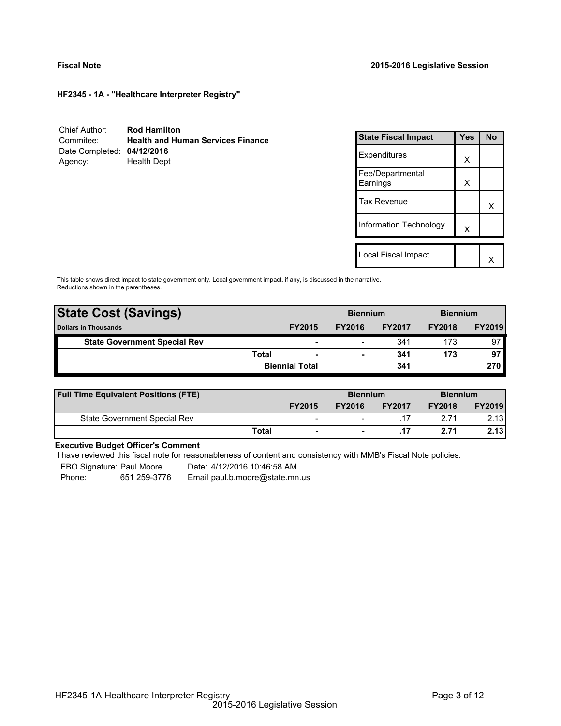## **HF2345 - 1A - "Healthcare Interpreter Registry"**

| Chief Author:              | <b>Rod Hamilton</b>                      |
|----------------------------|------------------------------------------|
| Commitee:                  | <b>Health and Human Services Finance</b> |
| Date Completed: 04/12/2016 |                                          |
| Agency:                    | <b>Health Dept</b>                       |

| <b>State Fiscal Impact</b>   | Yes | Nο |
|------------------------------|-----|----|
| Expenditures                 | X   |    |
| Fee/Departmental<br>Earnings | X   |    |
| <b>Tax Revenue</b>           |     | x  |
| Information Technology       | X   |    |
|                              |     |    |
| Local Fiscal Impact          |     |    |

This table shows direct impact to state government only. Local government impact. if any, is discussed in the narrative. Reductions shown in the parentheses.

| <b>State Cost (Savings)</b>         |              |                          | <b>Biennium</b> |               | <b>Biennium</b> |               |
|-------------------------------------|--------------|--------------------------|-----------------|---------------|-----------------|---------------|
| <b>Dollars in Thousands</b>         |              | <b>FY2015</b>            | <b>FY2016</b>   | <b>FY2017</b> | <b>FY2018</b>   | <b>FY2019</b> |
| <b>State Government Special Rev</b> |              | $\overline{\phantom{0}}$ |                 | 341           | 173             | 97            |
|                                     | <b>Total</b> |                          | ۰               | 341           | 173             | 97            |
|                                     |              | <b>Biennial Total</b>    |                 | 341           |                 | 270           |
|                                     |              |                          |                 |               |                 |               |

| <b>Full Time Equivalent Positions (FTE)</b> |       |                          | <b>Biennium</b> |               | <b>Biennium</b> |               |
|---------------------------------------------|-------|--------------------------|-----------------|---------------|-----------------|---------------|
|                                             |       | <b>FY2015</b>            | <b>FY2016</b>   | <b>FY2017</b> | <b>FY2018</b>   | <b>FY2019</b> |
| State Government Special Rev                |       | $\overline{\phantom{0}}$ |                 |               | 2.71            | 2.13          |
|                                             | Total |                          | -               |               | 2.71            | 2.13          |

## **Executive Budget Officer's Comment**

I have reviewed this fiscal note for reasonableness of content and consistency with MMB's Fiscal Note policies.

EBO Signature: Paul Moore Date: 4/12/2016 10:46:58 AM

Phone: 651 259-3776 Email paul.b.moore@state.mn.us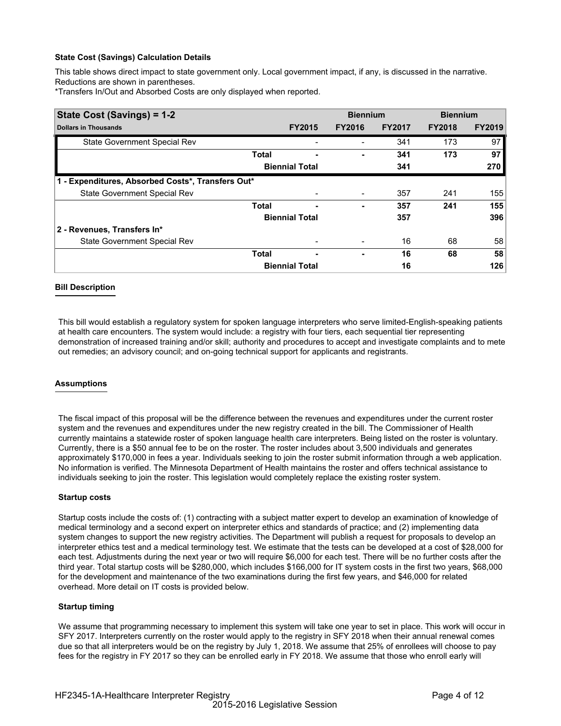### **State Cost (Savings) Calculation Details**

This table shows direct impact to state government only. Local government impact, if any, is discussed in the narrative. Reductions are shown in parentheses.

\*Transfers In/Out and Absorbed Costs are only displayed when reported.

| State Cost (Savings) = 1-2                        |              |                       | <b>Biennium</b> |               | <b>Biennium</b> |                 |
|---------------------------------------------------|--------------|-----------------------|-----------------|---------------|-----------------|-----------------|
| <b>Dollars in Thousands</b>                       |              | <b>FY2015</b>         | <b>FY2016</b>   | <b>FY2017</b> | <b>FY2018</b>   | <b>FY2019</b>   |
| State Government Special Rev                      |              |                       |                 | 341           | 173             | 97 <sup>°</sup> |
|                                                   | Total        |                       |                 | 341           | 173             | 97              |
|                                                   |              | <b>Biennial Total</b> |                 | 341           |                 | 270             |
| 1 - Expenditures, Absorbed Costs*, Transfers Out* |              |                       |                 |               |                 |                 |
| State Government Special Rev                      |              |                       |                 | 357           | 241             | 155             |
|                                                   | <b>Total</b> | ۰                     | ۰               | 357           | 241             | 155             |
|                                                   |              | <b>Biennial Total</b> |                 | 357           |                 | 396             |
| 2 - Revenues, Transfers In*                       |              |                       |                 |               |                 |                 |
| State Government Special Rev                      |              |                       |                 | 16            | 68              | 58              |
|                                                   | Total        | ٠                     | ۰               | 16            | 68              | 58              |
|                                                   |              | <b>Biennial Total</b> |                 | 16            |                 | 126             |

### **Bill Description**

This bill would establish a regulatory system for spoken language interpreters who serve limited-English-speaking patients at health care encounters. The system would include: a registry with four tiers, each sequential tier representing demonstration of increased training and/or skill; authority and procedures to accept and investigate complaints and to mete out remedies; an advisory council; and on-going technical support for applicants and registrants.

### **Assumptions**

The fiscal impact of this proposal will be the difference between the revenues and expenditures under the current roster system and the revenues and expenditures under the new registry created in the bill. The Commissioner of Health currently maintains a statewide roster of spoken language health care interpreters. Being listed on the roster is voluntary. Currently, there is a \$50 annual fee to be on the roster. The roster includes about 3,500 individuals and generates approximately \$170,000 in fees a year. Individuals seeking to join the roster submit information through a web application. No information is verified. The Minnesota Department of Health maintains the roster and offers technical assistance to individuals seeking to join the roster. This legislation would completely replace the existing roster system.

### **Startup costs**

Startup costs include the costs of: (1) contracting with a subject matter expert to develop an examination of knowledge of medical terminology and a second expert on interpreter ethics and standards of practice; and (2) implementing data system changes to support the new registry activities. The Department will publish a request for proposals to develop an interpreter ethics test and a medical terminology test. We estimate that the tests can be developed at a cost of \$28,000 for each test. Adjustments during the next year or two will require \$6,000 for each test. There will be no further costs after the third year. Total startup costs will be \$280,000, which includes \$166,000 for IT system costs in the first two years, \$68,000 for the development and maintenance of the two examinations during the first few years, and \$46,000 for related overhead. More detail on IT costs is provided below.

### **Startup timing**

We assume that programming necessary to implement this system will take one year to set in place. This work will occur in SFY 2017. Interpreters currently on the roster would apply to the registry in SFY 2018 when their annual renewal comes due so that all interpreters would be on the registry by July 1, 2018. We assume that 25% of enrollees will choose to pay fees for the registry in FY 2017 so they can be enrolled early in FY 2018. We assume that those who enroll early will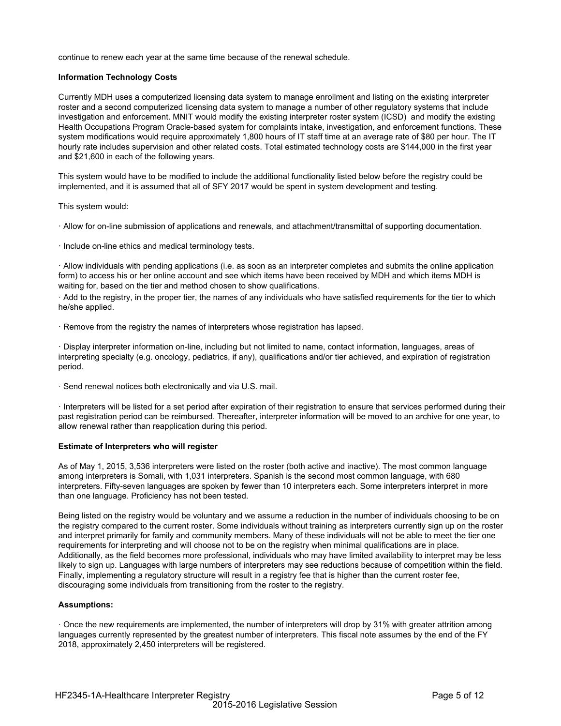continue to renew each year at the same time because of the renewal schedule.

### **Information Technology Costs**

Currently MDH uses a computerized licensing data system to manage enrollment and listing on the existing interpreter roster and a second computerized licensing data system to manage a number of other regulatory systems that include investigation and enforcement. MNIT would modify the existing interpreter roster system (ICSD) and modify the existing Health Occupations Program Oracle-based system for complaints intake, investigation, and enforcement functions. These system modifications would require approximately 1,800 hours of IT staff time at an average rate of \$80 per hour. The IT hourly rate includes supervision and other related costs. Total estimated technology costs are \$144,000 in the first year and \$21,600 in each of the following years.

This system would have to be modified to include the additional functionality listed below before the registry could be implemented, and it is assumed that all of SFY 2017 would be spent in system development and testing.

This system would:

· Allow for on-line submission of applications and renewals, and attachment/transmittal of supporting documentation.

· Include on-line ethics and medical terminology tests.

· Allow individuals with pending applications (i.e. as soon as an interpreter completes and submits the online application form) to access his or her online account and see which items have been received by MDH and which items MDH is waiting for, based on the tier and method chosen to show qualifications.

· Add to the registry, in the proper tier, the names of any individuals who have satisfied requirements for the tier to which he/she applied.

· Remove from the registry the names of interpreters whose registration has lapsed.

· Display interpreter information on-line, including but not limited to name, contact information, languages, areas of interpreting specialty (e.g. oncology, pediatrics, if any), qualifications and/or tier achieved, and expiration of registration period.

· Send renewal notices both electronically and via U.S. mail.

· Interpreters will be listed for a set period after expiration of their registration to ensure that services performed during their past registration period can be reimbursed. Thereafter, interpreter information will be moved to an archive for one year, to allow renewal rather than reapplication during this period.

### **Estimate of Interpreters who will register**

As of May 1, 2015, 3,536 interpreters were listed on the roster (both active and inactive). The most common language among interpreters is Somali, with 1,031 interpreters. Spanish is the second most common language, with 680 interpreters. Fifty-seven languages are spoken by fewer than 10 interpreters each. Some interpreters interpret in more than one language. Proficiency has not been tested.

Being listed on the registry would be voluntary and we assume a reduction in the number of individuals choosing to be on the registry compared to the current roster. Some individuals without training as interpreters currently sign up on the roster and interpret primarily for family and community members. Many of these individuals will not be able to meet the tier one requirements for interpreting and will choose not to be on the registry when minimal qualifications are in place. Additionally, as the field becomes more professional, individuals who may have limited availability to interpret may be less likely to sign up. Languages with large numbers of interpreters may see reductions because of competition within the field. Finally, implementing a regulatory structure will result in a registry fee that is higher than the current roster fee, discouraging some individuals from transitioning from the roster to the registry.

### **Assumptions:**

· Once the new requirements are implemented, the number of interpreters will drop by 31% with greater attrition among languages currently represented by the greatest number of interpreters. This fiscal note assumes by the end of the FY 2018, approximately 2,450 interpreters will be registered.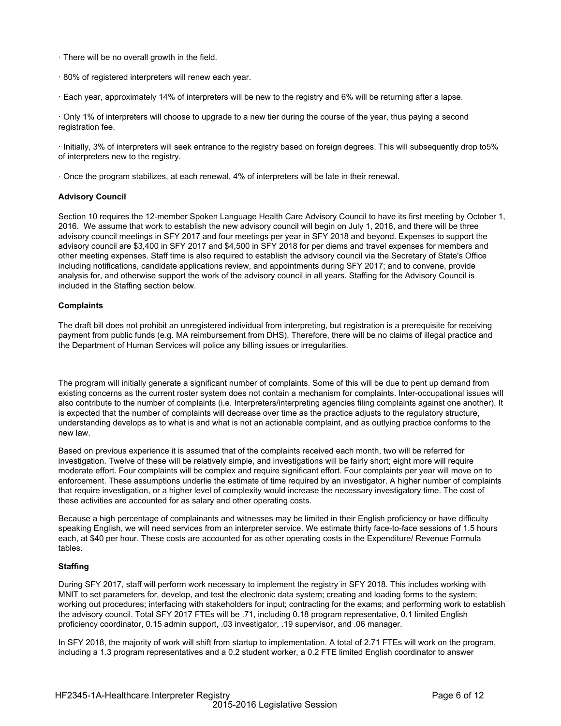· There will be no overall growth in the field.

· 80% of registered interpreters will renew each year.

· Each year, approximately 14% of interpreters will be new to the registry and 6% will be returning after a lapse.

· Only 1% of interpreters will choose to upgrade to a new tier during the course of the year, thus paying a second registration fee.

· Initially, 3% of interpreters will seek entrance to the registry based on foreign degrees. This will subsequently drop to5% of interpreters new to the registry.

· Once the program stabilizes, at each renewal, 4% of interpreters will be late in their renewal.

#### **Advisory Council**

Section 10 requires the 12-member Spoken Language Health Care Advisory Council to have its first meeting by October 1, 2016. We assume that work to establish the new advisory council will begin on July 1, 2016, and there will be three advisory council meetings in SFY 2017 and four meetings per year in SFY 2018 and beyond. Expenses to support the advisory council are \$3,400 in SFY 2017 and \$4,500 in SFY 2018 for per diems and travel expenses for members and other meeting expenses. Staff time is also required to establish the advisory council via the Secretary of State's Office including notifications, candidate applications review, and appointments during SFY 2017; and to convene, provide analysis for, and otherwise support the work of the advisory council in all years. Staffing for the Advisory Council is included in the Staffing section below.

#### **Complaints**

The draft bill does not prohibit an unregistered individual from interpreting, but registration is a prerequisite for receiving payment from public funds (e.g. MA reimbursement from DHS). Therefore, there will be no claims of illegal practice and the Department of Human Services will police any billing issues or irregularities.

The program will initially generate a significant number of complaints. Some of this will be due to pent up demand from existing concerns as the current roster system does not contain a mechanism for complaints. Inter-occupational issues will also contribute to the number of complaints (i.e. Interpreters/interpreting agencies filing complaints against one another). It is expected that the number of complaints will decrease over time as the practice adjusts to the regulatory structure, understanding develops as to what is and what is not an actionable complaint, and as outlying practice conforms to the new law.

Based on previous experience it is assumed that of the complaints received each month, two will be referred for investigation. Twelve of these will be relatively simple, and investigations will be fairly short; eight more will require moderate effort. Four complaints will be complex and require significant effort. Four complaints per year will move on to enforcement. These assumptions underlie the estimate of time required by an investigator. A higher number of complaints that require investigation, or a higher level of complexity would increase the necessary investigatory time. The cost of these activities are accounted for as salary and other operating costs.

Because a high percentage of complainants and witnesses may be limited in their English proficiency or have difficulty speaking English, we will need services from an interpreter service. We estimate thirty face-to-face sessions of 1.5 hours each, at \$40 per hour. These costs are accounted for as other operating costs in the Expenditure/ Revenue Formula tables.

### **Staffing**

During SFY 2017, staff will perform work necessary to implement the registry in SFY 2018. This includes working with MNIT to set parameters for, develop, and test the electronic data system; creating and loading forms to the system; working out procedures; interfacing with stakeholders for input; contracting for the exams; and performing work to establish the advisory council. Total SFY 2017 FTEs will be .71, including 0.18 program representative, 0.1 limited English proficiency coordinator, 0.15 admin support, .03 investigator, .19 supervisor, and .06 manager.

In SFY 2018, the majority of work will shift from startup to implementation. A total of 2.71 FTEs will work on the program, including a 1.3 program representatives and a 0.2 student worker, a 0.2 FTE limited English coordinator to answer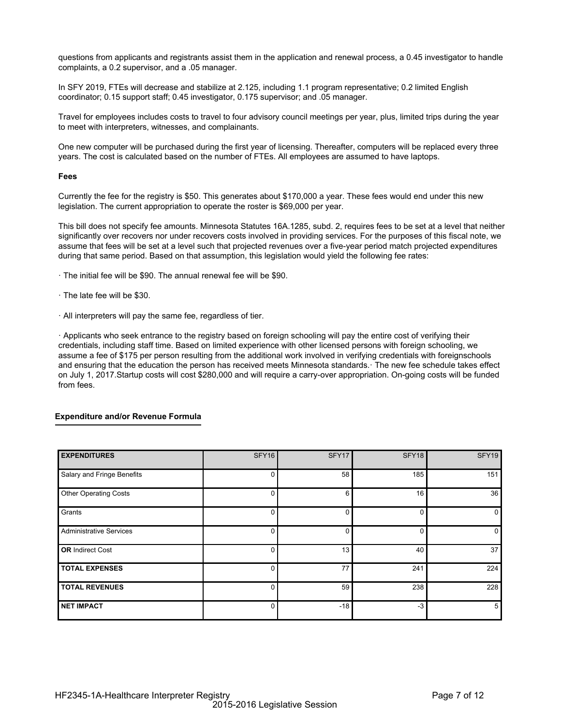questions from applicants and registrants assist them in the application and renewal process, a 0.45 investigator to handle complaints, a 0.2 supervisor, and a .05 manager.

In SFY 2019, FTEs will decrease and stabilize at 2.125, including 1.1 program representative; 0.2 limited English coordinator; 0.15 support staff; 0.45 investigator, 0.175 supervisor; and .05 manager.

Travel for employees includes costs to travel to four advisory council meetings per year, plus, limited trips during the year to meet with interpreters, witnesses, and complainants.

One new computer will be purchased during the first year of licensing. Thereafter, computers will be replaced every three years. The cost is calculated based on the number of FTEs. All employees are assumed to have laptops.

#### **Fees**

Currently the fee for the registry is \$50. This generates about \$170,000 a year. These fees would end under this new legislation. The current appropriation to operate the roster is \$69,000 per year.

This bill does not specify fee amounts. Minnesota Statutes 16A.1285, subd. 2, requires fees to be set at a level that neither significantly over recovers nor under recovers costs involved in providing services. For the purposes of this fiscal note, we assume that fees will be set at a level such that projected revenues over a five-year period match projected expenditures during that same period. Based on that assumption, this legislation would yield the following fee rates:

· The initial fee will be \$90. The annual renewal fee will be \$90.

- · The late fee will be \$30.
- · All interpreters will pay the same fee, regardless of tier.

· Applicants who seek entrance to the registry based on foreign schooling will pay the entire cost of verifying their credentials, including staff time. Based on limited experience with other licensed persons with foreign schooling, we assume a fee of \$175 per person resulting from the additional work involved in verifying credentials with foreignschools and ensuring that the education the person has received meets Minnesota standards.· The new fee schedule takes effect on July 1, 2017.Startup costs will cost \$280,000 and will require a carry-over appropriation. On-going costs will be funded from fees.

### **Expenditure and/or Revenue Formula**

| <b>EXPENDITURES</b>            | <b>SFY16</b> | SFY17    | SFY18        | SFY <sub>19</sub> |
|--------------------------------|--------------|----------|--------------|-------------------|
| Salary and Fringe Benefits     | 0            | 58       | 185          | 151               |
| <b>Other Operating Costs</b>   | 0            | 6        | 16           | 36                |
| Grants                         | $\mathbf 0$  | $\Omega$ | <sup>0</sup> | $\overline{0}$    |
| <b>Administrative Services</b> | $\mathbf{0}$ | $\Omega$ | ŋ            | $\overline{0}$    |
| <b>OR Indirect Cost</b>        | $\mathbf{0}$ | 13       | 40           | 37 <sup>1</sup>   |
| <b>TOTAL EXPENSES</b>          | $\mathbf{0}$ | 77       | 241          | 224               |
| <b>TOTAL REVENUES</b>          | $\mathbf{0}$ | 59       | 238          | 228               |
| <b>NET IMPACT</b>              | $\mathbf{0}$ | $-18$    | $-3$         | 5 <sub>1</sub>    |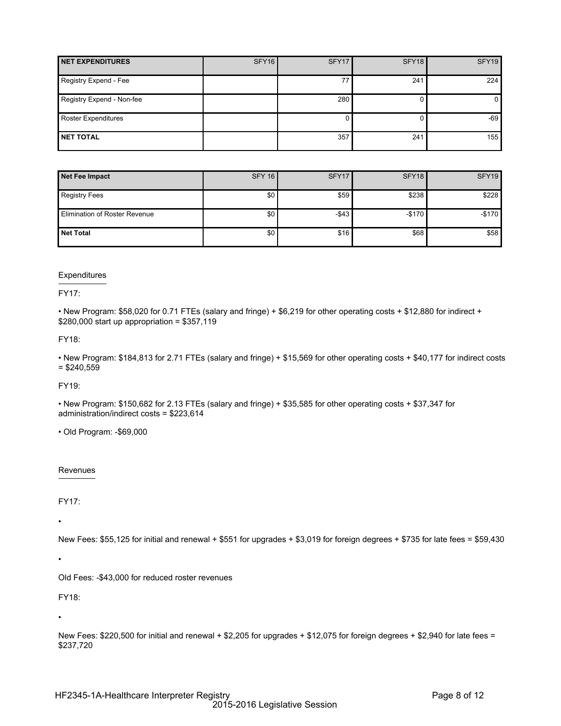| NET EXPENDITURES           | SFY <sub>16</sub> | SFY <sub>17</sub> | SFY <sub>18</sub> | SFY19        |
|----------------------------|-------------------|-------------------|-------------------|--------------|
| Registry Expend - Fee      |                   | 77                | 241               | 224          |
| Registry Expend - Non-fee  |                   | 280               |                   | $\mathbf{0}$ |
| <b>Roster Expenditures</b> |                   |                   |                   | -69          |
| <b>NET TOTAL</b>           |                   | 357               | 241               | 155          |

| Net Fee Impact                | <b>SFY 16</b>    | SFY17    | SFY <sub>18</sub> | SFY <sub>19</sub> |
|-------------------------------|------------------|----------|-------------------|-------------------|
| <b>Registry Fees</b>          | \$0 <sub>1</sub> | \$59     | \$238             | \$228             |
| Elimination of Roster Revenue | \$0 <sub>1</sub> | $-$ \$43 | $-$170$           | $-$170$           |
| <b>Net Total</b>              | \$0              | \$16     | \$68              | \$58              |

### Expenditures

FY17:

• New Program: \$58,020 for 0.71 FTEs (salary and fringe) + \$6,219 for other operating costs + \$12,880 for indirect + \$280,000 start up appropriation = \$357,119

FY18:

• New Program: \$184,813 for 2.71 FTEs (salary and fringe) + \$15,569 for other operating costs + \$40,177 for indirect costs  $= $240,559$ 

FY19:

• New Program: \$150,682 for 2.13 FTEs (salary and fringe) + \$35,585 for other operating costs + \$37,347 for administration/indirect costs = \$223,614

• Old Program: -\$69,000

## Revenues

FY17:

New Fees: \$55,125 for initial and renewal + \$551 for upgrades + \$3,019 for foreign degrees + \$735 for late fees = \$59,430

•

•

•

Old Fees: -\$43,000 for reduced roster revenues

FY18:

New Fees: \$220,500 for initial and renewal + \$2,205 for upgrades + \$12,075 for foreign degrees + \$2,940 for late fees = \$237,720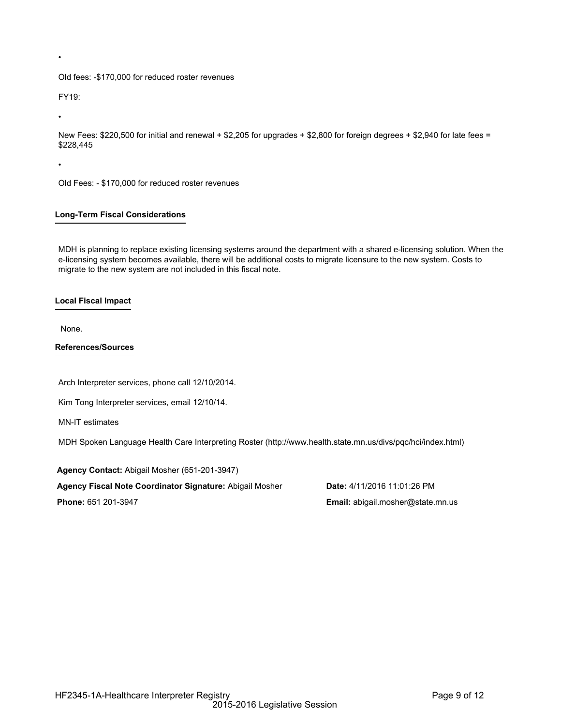Old fees: -\$170,000 for reduced roster revenues

FY19:

•

•

•

New Fees: \$220,500 for initial and renewal + \$2,205 for upgrades + \$2,800 for foreign degrees + \$2,940 for late fees = \$228,445

Old Fees: - \$170,000 for reduced roster revenues

## **Long-Term Fiscal Considerations**

MDH is planning to replace existing licensing systems around the department with a shared e-licensing solution. When the e-licensing system becomes available, there will be additional costs to migrate licensure to the new system. Costs to migrate to the new system are not included in this fiscal note.

### **Local Fiscal Impact**

None.

## **References/Sources**

Arch Interpreter services, phone call 12/10/2014.

Kim Tong Interpreter services, email 12/10/14.

MN-IT estimates

MDH Spoken Language Health Care Interpreting Roster (http://www.health.state.mn.us/divs/pqc/hci/index.html)

**Agency Contact:** Abigail Mosher (651-201-3947)

**Agency Fiscal Note Coordinator Signature:** Abigail Mosher **Date:** 4/11/2016 11:01:26 PM

**Phone:** 651 201-3947 **Email:** abigail.mosher@state.mn.us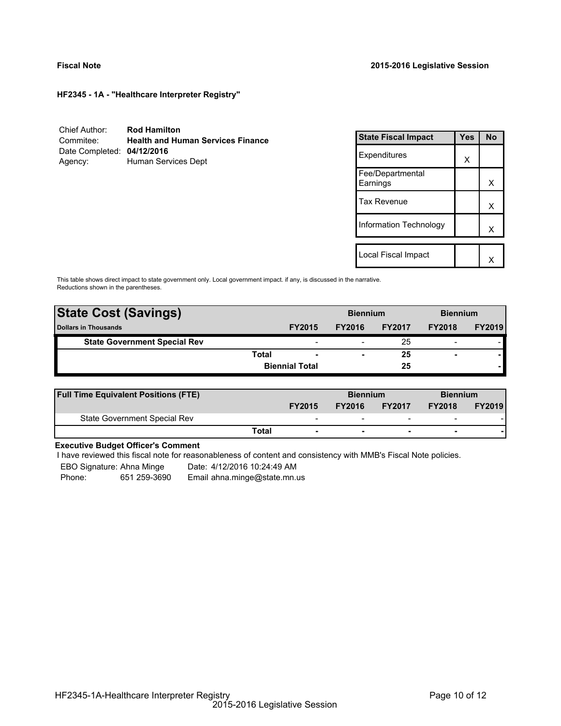**HF2345 - 1A - "Healthcare Interpreter Registry"**

| Chief Author:              | <b>Rod Hamilton</b>                      |
|----------------------------|------------------------------------------|
| Commitee:                  | <b>Health and Human Services Finance</b> |
| Date Completed: 04/12/2016 |                                          |
| Agency:                    | Human Services Dept                      |

| <b>State Fiscal Impact</b>   | Yes | <b>No</b> |
|------------------------------|-----|-----------|
| Expenditures                 | X   |           |
| Fee/Departmental<br>Earnings |     | x         |
| <b>Tax Revenue</b>           |     | x         |
| Information Technology       |     | x         |
|                              |     |           |
| Local Fiscal Impact          |     |           |

This table shows direct impact to state government only. Local government impact. if any, is discussed in the narrative. Reductions shown in the parentheses.

| <b>State Cost (Savings)</b>         |              |                          | <b>Biennium</b> |               | <b>Biennium</b> |               |
|-------------------------------------|--------------|--------------------------|-----------------|---------------|-----------------|---------------|
| <b>Dollars in Thousands</b>         |              | <b>FY2015</b>            | <b>FY2016</b>   | <b>FY2017</b> | <b>FY2018</b>   | <b>FY2019</b> |
| <b>State Government Special Rev</b> |              | $\overline{\phantom{0}}$ |                 | 25            | -               |               |
|                                     | <b>Total</b> | $\overline{\phantom{a}}$ | ۰               | 25            |                 |               |
|                                     |              | <b>Biennial Total</b>    |                 | 25            |                 |               |
|                                     |              |                          |                 |               |                 |               |

| <b>Full Time Equivalent Positions (FTE)</b> |       |                          | <b>Biennium</b> |                          |                          | <b>Biennium</b> |  |
|---------------------------------------------|-------|--------------------------|-----------------|--------------------------|--------------------------|-----------------|--|
|                                             |       | <b>FY2015</b>            | <b>FY2016</b>   | <b>FY2017</b>            | <b>FY2018</b>            | <b>FY2019</b>   |  |
| State Government Special Rev                |       | $\overline{\phantom{0}}$ |                 | $\overline{\phantom{0}}$ | $\overline{\phantom{a}}$ |                 |  |
|                                             | Total | $\overline{\phantom{a}}$ | -               | $\overline{\phantom{0}}$ | $\overline{\phantom{0}}$ |                 |  |

## **Executive Budget Officer's Comment**

I have reviewed this fiscal note for reasonableness of content and consistency with MMB's Fiscal Note policies.

EBO Signature: Ahna Minge Date: 4/12/2016 10:24:49 AM

Phone: 651 259-3690 Email ahna.minge@state.mn.us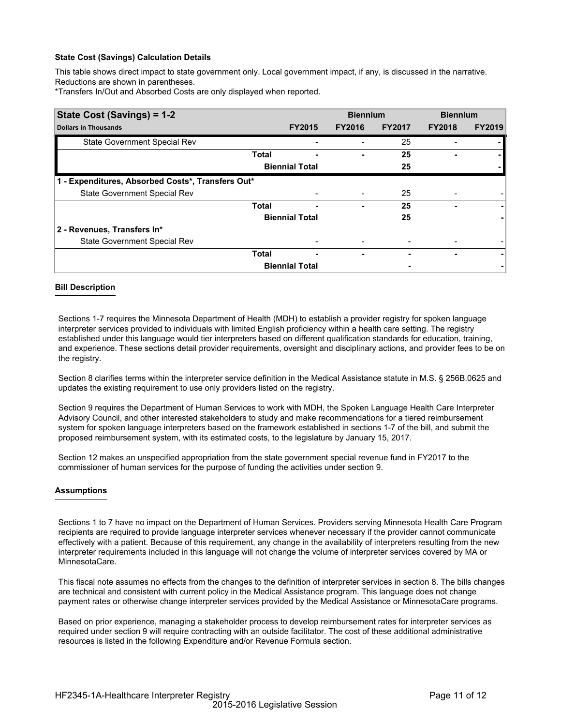### **State Cost (Savings) Calculation Details**

This table shows direct impact to state government only. Local government impact, if any, is discussed in the narrative. Reductions are shown in parentheses.

\*Transfers In/Out and Absorbed Costs are only displayed when reported.

| State Cost (Savings) = 1-2                        |              |                          | <b>Biennium</b> |               | <b>Biennium</b> |               |
|---------------------------------------------------|--------------|--------------------------|-----------------|---------------|-----------------|---------------|
| <b>Dollars in Thousands</b>                       |              | <b>FY2015</b>            | <b>FY2016</b>   | <b>FY2017</b> | <b>FY2018</b>   | <b>FY2019</b> |
| State Government Special Rev                      |              |                          |                 | 25            |                 |               |
|                                                   | <b>Total</b> |                          |                 | 25            |                 |               |
|                                                   |              | <b>Biennial Total</b>    |                 | 25            |                 |               |
| 1 - Expenditures, Absorbed Costs*, Transfers Out* |              |                          |                 |               |                 |               |
| State Government Special Rev                      |              |                          |                 | 25            |                 |               |
|                                                   | <b>Total</b> | ۰                        | $\blacksquare$  | 25            | -               |               |
|                                                   |              | <b>Biennial Total</b>    |                 | 25            |                 |               |
| 2 - Revenues, Transfers In*                       |              |                          |                 |               |                 |               |
| State Government Special Rev                      |              |                          |                 |               |                 |               |
|                                                   | <b>Total</b> | $\overline{\phantom{0}}$ |                 |               | ۰               |               |
|                                                   |              | <b>Biennial Total</b>    |                 |               |                 |               |

### **Bill Description**

Sections 1-7 requires the Minnesota Department of Health (MDH) to establish a provider registry for spoken language interpreter services provided to individuals with limited English proficiency within a health care setting. The registry established under this language would tier interpreters based on different qualification standards for education, training, and experience. These sections detail provider requirements, oversight and disciplinary actions, and provider fees to be on the registry.

Section 8 clarifies terms within the interpreter service definition in the Medical Assistance statute in M.S. § 256B.0625 and updates the existing requirement to use only providers listed on the registry.

Section 9 requires the Department of Human Services to work with MDH, the Spoken Language Health Care Interpreter Advisory Council, and other interested stakeholders to study and make recommendations for a tiered reimbursement system for spoken language interpreters based on the framework established in sections 1-7 of the bill, and submit the proposed reimbursement system, with its estimated costs, to the legislature by January 15, 2017.

Section 12 makes an unspecified appropriation from the state government special revenue fund in FY2017 to the commissioner of human services for the purpose of funding the activities under section 9.

### **Assumptions**

Sections 1 to 7 have no impact on the Department of Human Services. Providers serving Minnesota Health Care Program recipients are required to provide language interpreter services whenever necessary if the provider cannot communicate effectively with a patient. Because of this requirement, any change in the availability of interpreters resulting from the new interpreter requirements included in this language will not change the volume of interpreter services covered by MA or MinnesotaCare.

This fiscal note assumes no effects from the changes to the definition of interpreter services in section 8. The bills changes are technical and consistent with current policy in the Medical Assistance program. This language does not change payment rates or otherwise change interpreter services provided by the Medical Assistance or MinnesotaCare programs.

Based on prior experience, managing a stakeholder process to develop reimbursement rates for interpreter services as required under section 9 will require contracting with an outside facilitator. The cost of these additional administrative resources is listed in the following Expenditure and/or Revenue Formula section.